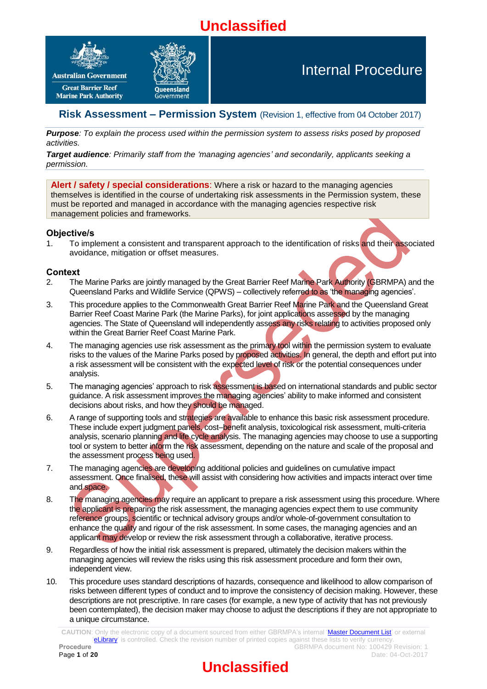# **Unclassified**



# Internal Procedure

## **Risk Assessment – Permission System** (Revision 1, effective from 04 October 2017)

*Purpose: To explain the process used within the permission system to assess risks posed by proposed activities.*

*Target audience: Primarily staff from the 'managing agencies' and secondarily, applicants seeking a permission.*

**Alert / safety / special considerations**: Where a risk or hazard to the managing agencies themselves is identified in the course of undertaking risk assessments in the Permission system, these must be reported and managed in accordance with the managing agencies respective risk management policies and frameworks.

## **Objective/s**

1. To implement a consistent and transparent approach to the identification of risks and their associated avoidance, mitigation or offset measures.

## **Context**

- 2. The Marine Parks are jointly managed by the Great Barrier Reef Marine Park Authority (GBRMPA) and the Queensland Parks and Wildlife Service (QPWS) – collectively referred to as 'the managing agencies'.
- 3. This procedure applies to the Commonwealth Great Barrier Reef Marine Park and the Queensland Great Barrier Reef Coast Marine Park (the Marine Parks), for joint applications assessed by the managing agencies. The State of Queensland will independently assess any risks relating to activities proposed only within the Great Barrier Reef Coast Marine Park.
- 4. The managing agencies use risk assessment as the primary tool within the permission system to evaluate risks to the values of the Marine Parks posed by proposed activities. In general, the depth and effort put into a risk assessment will be consistent with the expected level of risk or the potential consequences under analysis.
- 5. The managing agencies' approach to risk assessment is based on international standards and public sector guidance. A risk assessment improves the managing agencies' ability to make informed and consistent decisions about risks, and how they should be managed.
- 6. A range of supporting tools and strategies are available to enhance this basic risk assessment procedure. These include expert judgment panels, cost–benefit analysis, toxicological risk assessment, multi-criteria analysis, scenario planning and life cycle analysis. The managing agencies may choose to use a supporting tool or system to better inform the risk assessment, depending on the nature and scale of the proposal and the assessment process being used.
- 7. The managing agencies are developing additional policies and guidelines on cumulative impact assessment. Once finalised, these will assist with considering how activities and impacts interact over time and space.
- 8. The managing agencies may require an applicant to prepare a risk assessment using this procedure. Where the applicant is preparing the risk assessment, the managing agencies expect them to use community reference groups, scientific or technical advisory groups and/or whole-of-government consultation to enhance the quality and rigour of the risk assessment. In some cases, the managing agencies and an applicant may develop or review the risk assessment through a collaborative, iterative process.
- 9. Regardless of how the initial risk assessment is prepared, ultimately the decision makers within the managing agencies will review the risks using this risk assessment procedure and form their own, independent view.
- 10. This procedure uses standard descriptions of hazards, consequence and likelihood to allow comparison of risks between different types of conduct and to improve the consistency of decision making. However, these descriptions are not prescriptive. In rare cases (for example, a new type of activity that has not previously been contemplated), the decision maker may choose to adjust the descriptions if they are not appropriate to a unique circumstance.

**CAUTION**: Only the electronic copy of a document sourced from either GBRMPA's internal ['Master Document List'](http://qudos/masterdocumentlist/) or external ['eLibrary'](http://elibrary.gbrmpa.gov.au/jspui/) is controlled. Check the revision number of printed copies against these lists to verify currency. **Procedure Procedure GBRMPA** document No: 100429 Revision: 1

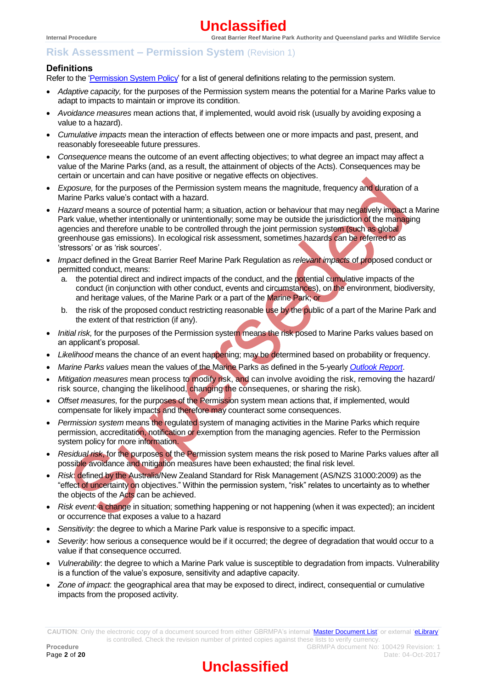## **Definitions**

Refer to the ['Permission System](http://hdl.handle.net/11017/3224) Policy' for a list of general definitions relating to the permission system.

- *Adaptive capacity,* for the purposes of the Permission system means the potential for a Marine Parks value to adapt to impacts to maintain or improve its condition.
- *Avoidance measures* mean actions that, if implemented, would avoid risk (usually by avoiding exposing a value to a hazard).
- *Cumulative impacts* mean the interaction of effects between one or more impacts and past, present, and reasonably foreseeable future pressures.
- *Consequence* means the outcome of an event affecting objectives; to what degree an impact may affect a value of the Marine Parks (and, as a result, the attainment of objects of the Acts). Consequences may be certain or uncertain and can have positive or negative effects on objectives.
- *Exposure,* for the purposes of the Permission system means the magnitude, frequency and duration of a Marine Parks value's contact with a hazard.
- Hazard means a source of potential harm; a situation, action or behaviour that may negatively impact a Marine Park value, whether intentionally or unintentionally; some may be outside the jurisdiction of the managing agencies and therefore unable to be controlled through the joint permission system (such as global) greenhouse gas emissions). In ecological risk assessment, sometimes hazards can be referred to as 'stressors' or as 'risk sources'.
- *Impact* defined in the Great Barrier Reef Marine Park Regulation as *relevant impacts* of proposed conduct or permitted conduct, means:
	- a. the potential direct and indirect impacts of the conduct, and the potential cumulative impacts of the conduct (in conjunction with other conduct, events and circumstances), on the environment, biodiversity, and heritage values, of the Marine Park or a part of the Marine Park; or
	- b. the risk of the proposed conduct restricting reasonable use by the public of a part of the Marine Park and the extent of that restriction (if any).
- *Initial risk,* for the purposes of the Permission system means the risk posed to Marine Parks values based on an applicant's proposal.
- *Likelihood* means the chance of an event happening; may be determined based on probability or frequency.
- *Marine Parks values* mean the values of the Marine Parks as defined in the 5-yearly *[Outlook Report](http://www.gbrmpa.gov.au/managing-the-reef/great-barrier-reef-outlook-report)*.
- *Mitigation measures* mean process to modify risk, and can involve avoiding the risk, removing the hazard/ risk source, changing the likelihood, changing the consequenes, or sharing the risk).
- *Offset measures,* for the purposes of the Permission system mean actions that, if implemented, would compensate for likely impacts and therefore may counteract some consequences.
- *Permission system* means the regulated system of managing activities in the Marine Parks which require permission, accreditation, notification or exemption from the managing agencies. Refer to the Permission system policy for more information.
- *Residual risk*, for the purposes of the Permission system means the risk posed to Marine Parks values after all possible avoidance and mitigation measures have been exhausted; the final risk level.
- *Risk*: defined by the Australia/New Zealand Standard for Risk Management (AS/NZS 31000:2009) as the "effect of uncertainty on objectives." Within the permission system, "risk" relates to uncertainty as to whether the objects of the Acts can be achieved.
- *Risk event*: a change in situation; something happening or not happening (when it was expected); an incident or occurrence that exposes a value to a hazard
- *Sensitivity*: the degree to which a Marine Park value is responsive to a specific impact.
- *Severity*: how serious a consequence would be if it occurred; the degree of degradation that would occur to a value if that consequence occurred.
- *Vulnerability*: the degree to which a Marine Park value is susceptible to degradation from impacts. Vulnerability is a function of the value's exposure, sensitivity and adaptive capacity.
- *Zone of impact*: the geographical area that may be exposed to direct, indirect, consequential or cumulative impacts from the proposed activity.

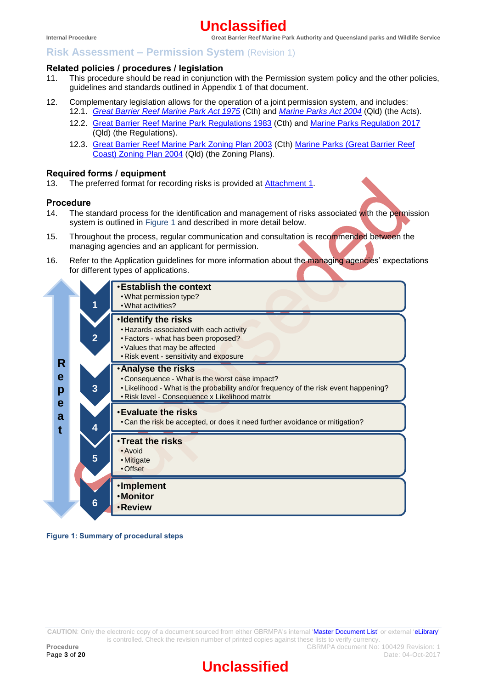## **Related policies / procedures / legislation**

- 11. This procedure should be read in conjunction with the Permission system policy and the other policies, guidelines and standards outlined in Appendix 1 of that document.
- 12. Complementary legislation allows for the operation of a joint permission system, and includes: 12.1. *[Great Barrier Reef Marine Park Act 1975](https://www.legislation.gov.au/Details/C2016C00551)* (Cth) and *[Marine Parks Act 2004](https://www.legislation.qld.gov.au/Acts_SLs/Acts_SL_M.htm)* (Qld) (the Acts).
	- 12.2. [Great Barrier Reef Marine](https://www.legislation.gov.au/Details/F2016C00383) Park Regulations 1983 (Cth) and [Marine Parks Regulation 2017](https://www.legislation.qld.gov.au/Acts_SLs/Acts_SL_M.htm) (Qld) (the Regulations).
	- 12.3. [Great Barrier Reef Marine Park Zoning Plan 2003](https://www.legislation.gov.au/Details/F2005B02402) (Cth) Marine Parks (Great Barrier Reef [Coast\) Zoning Plan 2004](https://www.legislation.qld.gov.au/Acts_SLs/Acts_SL_M.htm) (Qld) (the Zoning Plans).

#### **Required forms / equipment**

13. The preferred format for recording risks is provided at [Attachment](#page-18-0) 1.

#### **Procedure**

- 14. The standard process for the identification and management of risks associated with the permission system is outlined in [Figure 1](#page-2-0) and described in more detail below.
- 15. Throughout the process, regular communication and consultation is recommended between the managing agencies and an applicant for permission.
- 16. Refer to the Application guidelines for more information about the managing agencies' expectations for different types of applications.

|             |                | <b>Establish the context</b><br>. What permission type?<br>. What activities?                                                                                                                                        |
|-------------|----------------|----------------------------------------------------------------------------------------------------------------------------------------------------------------------------------------------------------------------|
| R           | $\overline{2}$ | ·Identify the risks<br>. Hazards associated with each activity<br>• Factors - what has been proposed?<br>• Values that may be affected<br>. Risk event - sensitivity and exposure                                    |
| е<br>p      | 3              | <b>Analyse the risks</b><br>• Consequence - What is the worst case impact?<br>• Likelihood - What is the probability and/or frequency of the risk event happening?<br>· Risk level - Consequence x Likelihood matrix |
| e<br>a<br>t | 4              | <b>Evaluate the risks</b><br>. Can the risk be accepted, or does it need further avoidance or mitigation?                                                                                                            |
|             | 5              | <b>·Treat the risks</b><br>• Avoid<br>• Mitigate<br>• Offset                                                                                                                                                         |
|             | 6              | ·Implement<br><b>•Monitor</b><br><b>·Review</b>                                                                                                                                                                      |

<span id="page-2-0"></span>**Figure 1: Summary of procedural steps**

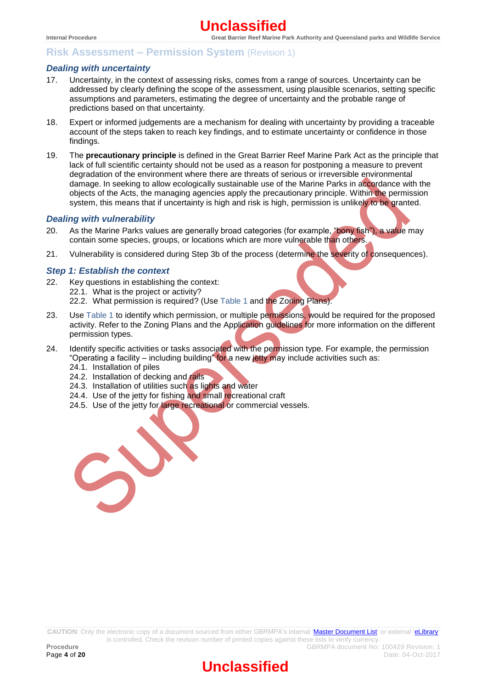#### *Dealing with uncertainty*

- 17. Uncertainty, in the context of assessing risks, comes from a range of sources. Uncertainty can be addressed by clearly defining the scope of the assessment, using plausible scenarios, setting specific assumptions and parameters, estimating the degree of uncertainty and the probable range of predictions based on that uncertainty.
- 18. Expert or informed judgements are a mechanism for dealing with uncertainty by providing a traceable account of the steps taken to reach key findings, and to estimate uncertainty or confidence in those findings.
- 19. The **precautionary principle** is defined in the Great Barrier Reef Marine Park Act as the principle that lack of full scientific certainty should not be used as a reason for postponing a measure to prevent degradation of the environment where there are threats of serious or irreversible environmental damage. In seeking to allow ecologically sustainable use of the Marine Parks in accordance with the objects of the Acts, the managing agencies apply the precautionary principle. Within the permission system, this means that if uncertainty is high and risk is high, permission is unlikely to be granted.

#### *Dealing with vulnerability*

- 20. As the Marine Parks values are generally broad categories (for example, "bony fish"), a value may contain some species, groups, or locations which are more vulnerable than others.
- 21. Vulnerability is considered during Step 3b of the process (determine the severity of consequences).

#### *Step 1: Establish the context*

- 22. Key questions in establishing the context:
	- 22.1. What is the project or activity?
		- 22.2. What permission is required? (Use [Table 1](#page-4-0) and the Zoning Plans).
- 23. Use [Table 1](#page-4-0) to identify which permission, or multiple permissions, would be required for the proposed activity. Refer to the Zoning Plans and the Application guidelines for more information on the different permission types.
- 24. Identify specific activities or tasks associated with the permission type. For example, the permission "Operating a facility – including building" for a new jetty may include activities such as: 24.1. Installation of piles
	-
	- 24.2. Installation of decking and rails 24.3. Installation of utilities such as lights and water
	-
	- 24.4. Use of the jetty for fishing and small recreational craft
	- 24.5. Use of the jetty for *large recreational* or commercial vessels.

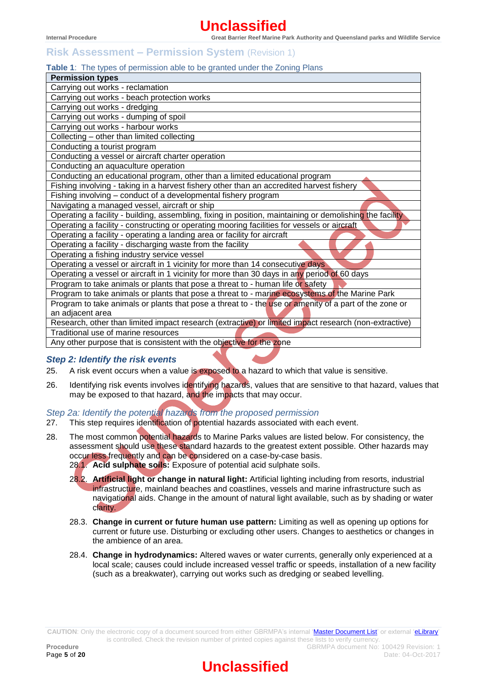# **Risk Assessment – Permission System** (Revision 1)

## <span id="page-4-0"></span>**Table 1**: The types of permission able to be granted under the Zoning Plans

| <b>Permission types</b>                                                                                  |
|----------------------------------------------------------------------------------------------------------|
| Carrying out works - reclamation                                                                         |
| Carrying out works - beach protection works                                                              |
| Carrying out works - dredging                                                                            |
| Carrying out works - dumping of spoil                                                                    |
| Carrying out works - harbour works                                                                       |
| Collecting - other than limited collecting                                                               |
| Conducting a tourist program                                                                             |
| Conducting a vessel or aircraft charter operation                                                        |
| Conducting an aquaculture operation                                                                      |
| Conducting an educational program, other than a limited educational program                              |
| Fishing involving - taking in a harvest fishery other than an accredited harvest fishery                 |
| Fishing involving - conduct of a developmental fishery program                                           |
| Navigating a managed vessel, aircraft or ship                                                            |
| Operating a facility - building, assembling, fixing in position, maintaining or demolishing the facility |
| Operating a facility - constructing or operating mooring facilities for vessels or aircraft              |
| Operating a facility - operating a landing area or facility for aircraft                                 |
| Operating a facility - discharging waste from the facility                                               |
| Operating a fishing industry service vessel                                                              |
| Operating a vessel or aircraft in 1 vicinity for more than 14 consecutive days                           |
| Operating a vessel or aircraft in 1 vicinity for more than 30 days in any period of 60 days              |
| Program to take animals or plants that pose a threat to - human life or safety                           |
| Program to take animals or plants that pose a threat to - marine ecosystems of the Marine Park           |
| Program to take animals or plants that pose a threat to - the use or amenity of a part of the zone or    |
| an adjacent area                                                                                         |
| Research, other than limited impact research (extractive) or limited impact research (non-extractive)    |
| Traditional use of marine resources                                                                      |
| Any other purpose that is consistent with the objective for the zone                                     |

#### *Step 2: Identify the risk events*

- 25. A risk event occurs when a value is exposed to a hazard to which that value is sensitive.
- 26. Identifying risk events involves identifying hazards, values that are sensitive to that hazard, values that may be exposed to that hazard, and the impacts that may occur.

## *Step 2a: Identify the potential hazards from the proposed permission*

- 27. This step requires identification of potential hazards associated with each event.
- 28. The most common potential hazards to Marine Parks values are listed below. For consistency, the assessment should use these standard hazards to the greatest extent possible. Other hazards may occur less frequently and can be considered on a case-by-case basis. 28.1. **Acid sulphate soils:** Exposure of potential acid sulphate soils.
	- 28.2. **Artificial light or change in natural light:** Artificial lighting including from resorts, industrial infrastructure, mainland beaches and coastlines, vessels and marine infrastructure such as navigational aids. Change in the amount of natural light available, such as by shading or water clarity.
	- 28.3. **Change in current or future human use pattern:** Limiting as well as opening up options for current or future use. Disturbing or excluding other users. Changes to aesthetics or changes in the ambience of an area.
	- 28.4. **Change in hydrodynamics:** Altered waves or water currents, generally only experienced at a local scale; causes could include increased vessel traffic or speeds, installation of a new facility (such as a breakwater), carrying out works such as dredging or seabed levelling.

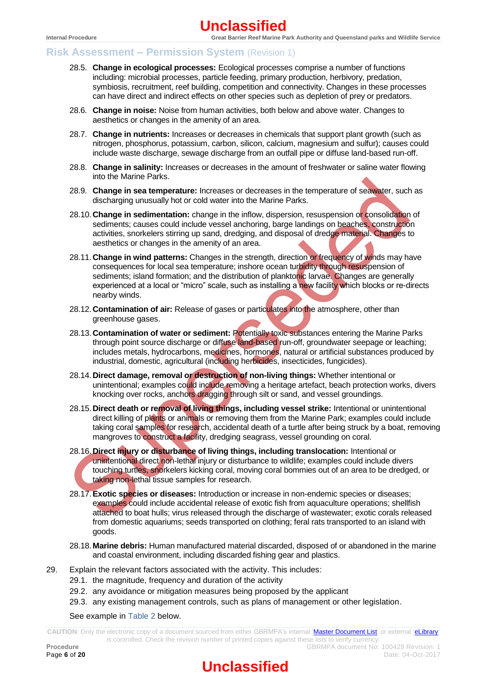# **Risk Assessment – Permission System** (Revision 1)

- 28.5. **Change in ecological processes:** Ecological processes comprise a number of functions including: microbial processes, particle feeding, primary production, herbivory, predation, symbiosis, recruitment, reef building, competition and connectivity. Changes in these processes can have direct and indirect effects on other species such as depletion of prey or predators.
- 28.6. **Change in noise:** Noise from human activities, both below and above water. Changes to aesthetics or changes in the amenity of an area.
- 28.7. **Change in nutrients:** Increases or decreases in chemicals that support plant growth (such as nitrogen, phosphorus, potassium, carbon, silicon, calcium, magnesium and sulfur); causes could include waste discharge, sewage discharge from an outfall pipe or diffuse land-based run-off.
- 28.8. **Change in salinity:** Increases or decreases in the amount of freshwater or saline water flowing into the Marine Parks.
- 28.9. **Change in sea temperature:** Increases or decreases in the temperature of seawater, such as discharging unusually hot or cold water into the Marine Parks.
- 28.10.**Change in sedimentation:** change in the inflow, dispersion, resuspension or consolidation of sediments; causes could include vessel anchoring, barge landings on beaches, construction activities, snorkelers stirring up sand, dredging, and disposal of dredge material. Changes to aesthetics or changes in the amenity of an area.
- 28.11.**Change in wind patterns:** Changes in the strength, direction or frequency of winds may have consequences for local sea temperature; inshore ocean turbidity through resuspension of sediments; island formation; and the distribution of planktonic larvae. Changes are generally experienced at a local or "micro" scale, such as installing a new facility which blocks or re-directs nearby winds.
- 28.12.**Contamination of air:** Release of gases or particulates into the atmosphere, other than greenhouse gases.
- 28.13.**Contamination of water or sediment:** Potentially toxic substances entering the Marine Parks through point source discharge or diffuse land-based run-off, groundwater seepage or leaching; includes metals, hydrocarbons, medicines, hormones, natural or artificial substances produced by industrial, domestic, agricultural (including herbicides, insecticides, fungicides).
- 28.14.**Direct damage, removal or destruction of non-living things:** Whether intentional or unintentional; examples could include removing a heritage artefact, beach protection works, divers knocking over rocks, anchors dragging through silt or sand, and vessel groundings.
- 28.15.**Direct death or removal of living things, including vessel strike:** Intentional or unintentional direct killing of plants or animals or removing them from the Marine Park; examples could include taking coral samples for research, accidental death of a turtle after being struck by a boat, removing mangroves to construct a facility, dredging seagrass, vessel grounding on coral.
- 28.16.**Direct injury or disturbance of living things, including translocation:** Intentional or unintentional direct non-lethal injury or disturbance to wildlife; examples could include divers touching turtles, snorkelers kicking coral, moving coral bommies out of an area to be dredged, or taking non-lethal tissue samples for research.
- 28.17.**Exotic species or diseases:** Introduction or increase in non-endemic species or diseases; examples could include accidental release of exotic fish from aquaculture operations; shellfish attached to boat hulls; virus released through the discharge of wastewater; exotic corals released from domestic aquariums; seeds transported on clothing; feral rats transported to an island with goods.
- 28.18.**Marine debris:** Human manufactured material discarded, disposed of or abandoned in the marine and coastal environment, including discarded fishing gear and plastics.
- 29. Explain the relevant factors associated with the activity. This includes:
	- 29.1. the magnitude, frequency and duration of the activity
	- 29.2. any avoidance or mitigation measures being proposed by the applicant
	- 29.3. any existing management controls, such as plans of management or other legislation.
	- See example in [Table 2](#page-6-0) below.

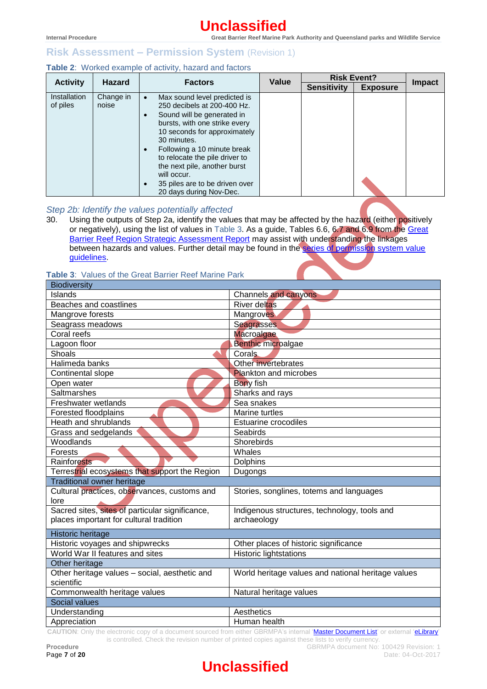## **Risk Assessment – Permission System** (Revision 1)

## <span id="page-6-0"></span>**Table 2**: Worked example of activity, hazard and factors

|                          | <b>Hazard</b>      | <b>Factors</b>                                                                                                                                                                                                                                                                                                                                         | Value | <b>Risk Event?</b> |                 |               |
|--------------------------|--------------------|--------------------------------------------------------------------------------------------------------------------------------------------------------------------------------------------------------------------------------------------------------------------------------------------------------------------------------------------------------|-------|--------------------|-----------------|---------------|
| <b>Activity</b>          |                    |                                                                                                                                                                                                                                                                                                                                                        |       | <b>Sensitivity</b> | <b>Exposure</b> | <b>Impact</b> |
| Installation<br>of piles | Change in<br>noise | Max sound level predicted is<br>250 decibels at 200-400 Hz.<br>Sound will be generated in<br>bursts, with one strike every<br>10 seconds for approximately<br>30 minutes.<br>Following a 10 minute break<br>to relocate the pile driver to<br>the next pile, another burst<br>will occur.<br>35 piles are to be driven over<br>20 days during Nov-Dec. |       |                    |                 |               |

## *Step 2b: Identify the values potentially affected*

30. Using the outputs of Step 2a, identify the values that may be affected by the hazard (either positively or negatively), using the list of values in [Table 3.](#page-6-1) As a guide, Tables 6.6, 6.7 and 6.9 from the [Great](http://www.gbrmpa.gov.au/managing-the-reef/strategic-assessment)  [Barrier Reef Region Strategic Assessment Report](http://www.gbrmpa.gov.au/managing-the-reef/strategic-assessment) may assist with understanding the linkages between hazards and values. Further detail may be found in the [series of permission system value](http://elibrary.gbrmpa.gov.au/jspui/browse?type=series&order=ASC&rpp=20&value=Permission+system+value+guidelines)  [guidelines.](http://elibrary.gbrmpa.gov.au/jspui/browse?type=series&order=ASC&rpp=20&value=Permission+system+value+guidelines)

## <span id="page-6-1"></span>**Table 3**: Values of the Great Barrier Reef Marine Park

| <b>Biodiversity</b>                                  |                                                    |  |  |  |
|------------------------------------------------------|----------------------------------------------------|--|--|--|
| Islands                                              | <b>Channels and canyons</b>                        |  |  |  |
| Beaches and coastlines                               | <b>River deltas</b>                                |  |  |  |
| Mangrove forests                                     | Mangroves                                          |  |  |  |
| Seagrass meadows                                     | Seagrasses                                         |  |  |  |
| Coral reefs                                          | <b>Macroalgae</b>                                  |  |  |  |
| Lagoon floor                                         | <b>Benthic microalgae</b>                          |  |  |  |
| Shoals                                               | <b>Corals</b>                                      |  |  |  |
| Halimeda banks                                       | Other invertebrates                                |  |  |  |
| Continental slope                                    | <b>Plankton and microbes</b>                       |  |  |  |
| Open water                                           | <b>Bony</b> fish                                   |  |  |  |
| Saltmarshes                                          | Sharks and rays                                    |  |  |  |
| Freshwater wetlands                                  | Sea snakes                                         |  |  |  |
| Forested floodplains                                 | Marine turtles                                     |  |  |  |
| Heath and shrublands                                 | <b>Estuarine crocodiles</b>                        |  |  |  |
| Grass and sedgelands                                 | <b>Seabirds</b>                                    |  |  |  |
| Woodlands                                            | Shorebirds                                         |  |  |  |
| Forests                                              | Whales                                             |  |  |  |
| Rainforests                                          | <b>Dolphins</b>                                    |  |  |  |
| Terrestrial ecosystems that support the Region       | Dugongs                                            |  |  |  |
| Traditional owner heritage                           |                                                    |  |  |  |
| Cultural practices, observances, customs and<br>lore | Stories, songlines, totems and languages           |  |  |  |
| Sacred sites, sites of particular significance,      | Indigenous structures, technology, tools and       |  |  |  |
| places important for cultural tradition              | archaeology                                        |  |  |  |
| Historic heritage                                    |                                                    |  |  |  |
| Historic voyages and shipwrecks                      | Other places of historic significance              |  |  |  |
| World War II features and sites                      | <b>Historic lightstations</b>                      |  |  |  |
| Other heritage                                       |                                                    |  |  |  |
| Other heritage values - social, aesthetic and        | World heritage values and national heritage values |  |  |  |
| scientific                                           |                                                    |  |  |  |
| Commonwealth heritage values                         | Natural heritage values                            |  |  |  |
| Social values                                        |                                                    |  |  |  |
| Understanding                                        | Aesthetics                                         |  |  |  |
| Appreciation                                         | Human health                                       |  |  |  |

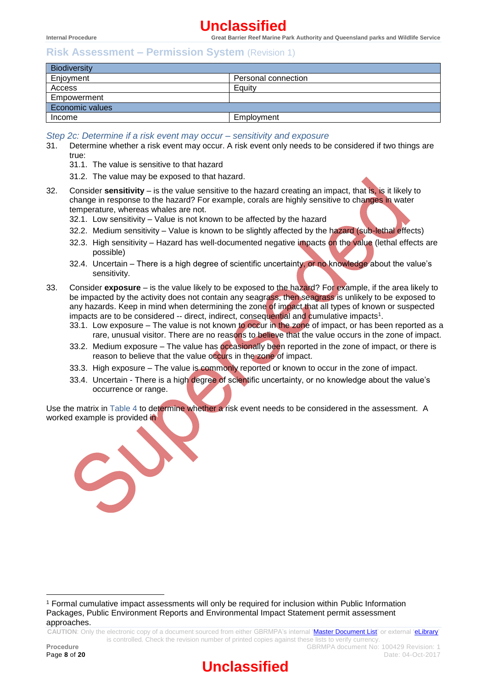## **Risk Assessment – Permission System** (Revision 1)

| <b>Biodiversity</b> |                     |  |  |  |
|---------------------|---------------------|--|--|--|
| Enjoyment           | Personal connection |  |  |  |
| Access              | Equity              |  |  |  |
| Empowerment         |                     |  |  |  |
| Economic values     |                     |  |  |  |
| Income              | Employment          |  |  |  |

*Step 2c: Determine if a risk event may occur – sensitivity and exposure*

- 31. Determine whether a risk event may occur. A risk event only needs to be considered if two things are true:
	- 31.1. The value is sensitive to that hazard
	- 31.2. The value may be exposed to that hazard.
- 32. Consider **sensitivity** is the value sensitive to the hazard creating an impact, that is, is it likely to change in response to the hazard? For example, corals are highly sensitive to changes in water temperature, whereas whales are not.
	- 32.1. Low sensitivity Value is not known to be affected by the hazard
	- 32.2. Medium sensitivity Value is known to be slightly affected by the hazard (sub-lethal effects)
	- 32.3. High sensitivity Hazard has well-documented negative impacts on the value (lethal effects are possible)
	- 32.4. Uncertain There is a high degree of scientific uncertainty, or no knowledge about the value's sensitivity.
- 33. Consider **exposure** is the value likely to be exposed to the hazard? For example, if the area likely to be impacted by the activity does not contain any seagrass, then seagrass is unlikely to be exposed to any hazards. Keep in mind when determining the zone of impact that all types of known or suspected impacts are to be considered  $-$  direct, indirect, consequential and cumulative impacts<sup>1</sup>.
	- 33.1. Low exposure The value is not known to occur in the zone of impact, or has been reported as a rare, unusual visitor. There are no reasons to believe that the value occurs in the zone of impact.
	- 33.2. Medium exposure The value has occasionally been reported in the zone of impact, or there is reason to believe that the value occurs in the zone of impact.
	- 33.3. High exposure The value is commonly reported or known to occur in the zone of impact.
	- 33.4. Uncertain There is a high degree of scientific uncertainty, or no knowledge about the value's occurrence or range.

Use the matrix in [Table 4](#page-8-0) to determine whether a risk event needs to be considered in the assessment. A workedexample is provided in



**CAUTION**: Only the electronic copy of a document sourced from either GBRMPA's internal ['Master Document List'](http://qudos/masterdocumentlist/) or external ['eLibrary'](http://elibrary.gbrmpa.gov.au/jspui/)  is controlled. Check the revision number of printed copies against these lists to verify currency.

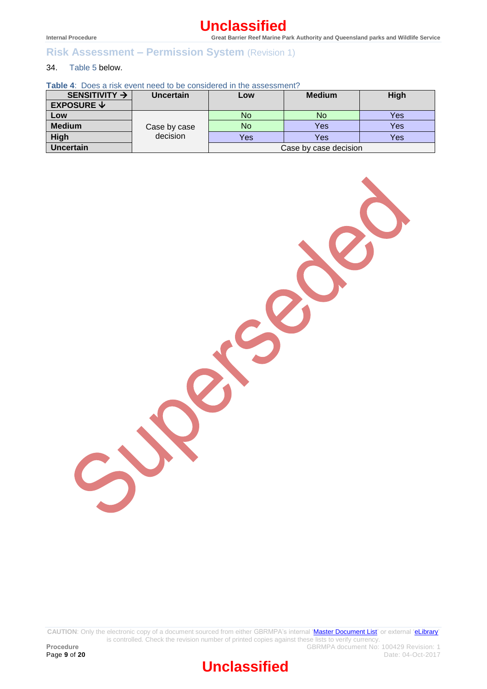# **Risk Assessment – Permission System** (Revision 1)

## 34. [Table 5](#page-8-1) below.

<span id="page-8-0"></span>**Table 4**: Does a risk event need to be considered in the assessment?

<span id="page-8-1"></span>

| SENSITIVITY $\rightarrow$            | <b>Uncertain</b> | Low | <b>Medium</b>         | High |
|--------------------------------------|------------------|-----|-----------------------|------|
| <b>EXPOSURE <math>\forall</math></b> |                  |     |                       |      |
| Low                                  |                  | No  | No                    | Yes  |
| <b>Medium</b>                        | Case by case     | No  | Yes                   | Yes  |
| <b>High</b>                          | decision         | Yes | Yes                   | Yes  |
| <b>Uncertain</b>                     |                  |     | Case by case decision |      |



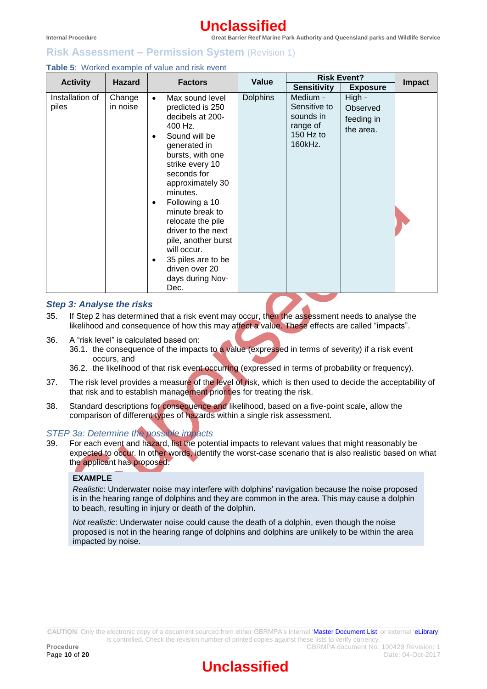## **Risk Assessment – Permission System** (Revision 1)

| <b>Table 5:</b> Worked example of value and risk event |
|--------------------------------------------------------|
|--------------------------------------------------------|

| <b>Hazard</b><br><b>Activity</b> |                    | <b>Factors</b>                                                                                                                                                                                                                                                                                                                                                                                                                          | Value           | <b>Risk Event?</b>                                                        |                                               |               |
|----------------------------------|--------------------|-----------------------------------------------------------------------------------------------------------------------------------------------------------------------------------------------------------------------------------------------------------------------------------------------------------------------------------------------------------------------------------------------------------------------------------------|-----------------|---------------------------------------------------------------------------|-----------------------------------------------|---------------|
|                                  |                    |                                                                                                                                                                                                                                                                                                                                                                                                                                         |                 | <b>Sensitivity</b>                                                        | <b>Exposure</b>                               | <b>Impact</b> |
| Installation of<br>piles         | Change<br>in noise | Max sound level<br>$\bullet$<br>predicted is 250<br>decibels at 200-<br>400 Hz.<br>Sound will be<br>$\bullet$<br>generated in<br>bursts, with one<br>strike every 10<br>seconds for<br>approximately 30<br>minutes.<br>Following a 10<br>$\bullet$<br>minute break to<br>relocate the pile<br>driver to the next<br>pile, another burst<br>will occur.<br>35 piles are to be<br>$\bullet$<br>driven over 20<br>days during Nov-<br>Dec. | <b>Dolphins</b> | Medium -<br>Sensitive to<br>sounds in<br>range of<br>150 Hz to<br>160kHz. | High -<br>Observed<br>feeding in<br>the area. |               |

#### *Step 3: Analyse the risks*

- 35. If Step 2 has determined that a risk event may occur, then the assessment needs to analyse the likelihood and consequence of how this may affect a value. These effects are called "impacts".
- 36. A "risk level" is calculated based on:
	- 36.1. the consequence of the impacts to a value (expressed in terms of severity) if a risk event occurs, and
	- 36.2. the likelihood of that risk event occurring (expressed in terms of probability or frequency).
- 37. The risk level provides a measure of the level of risk, which is then used to decide the acceptability of that risk and to establish management priorities for treating the risk.
- 38. Standard descriptions for consequence and likelihood, based on a five-point scale, allow the comparison of different types of hazards within a single risk assessment.

## *STEP 3a: Determine the possible impacts*

39. For each event and hazard, list the potential impacts to relevant values that might reasonably be expected to occur. In other words, identify the worst-case scenario that is also realistic based on what the applicant has proposed.

## **EXAMPLE**

*Realistic*: Underwater noise may interfere with dolphins' navigation because the noise proposed is in the hearing range of dolphins and they are common in the area. This may cause a dolphin to beach, resulting in injury or death of the dolphin.

*Not realistic*: Underwater noise could cause the death of a dolphin, even though the noise proposed is not in the hearing range of dolphins and dolphins are unlikely to be within the area impacted by noise.

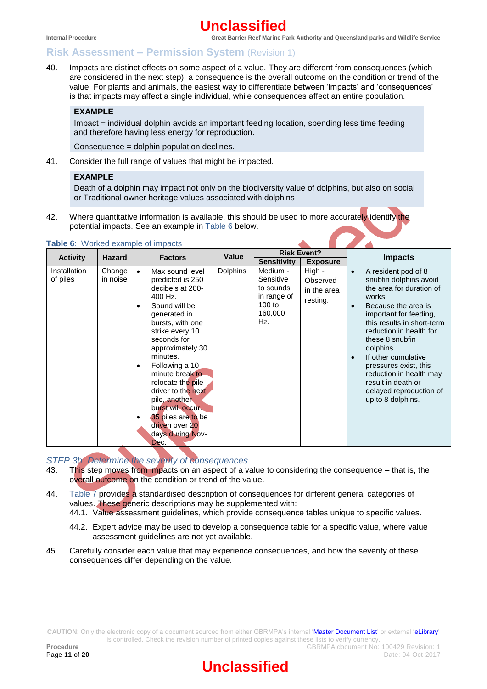## **Risk Assessment – Permission System** (Revision 1)

40. Impacts are distinct effects on some aspect of a value. They are different from consequences (which are considered in the next step); a consequence is the overall outcome on the condition or trend of the value. For plants and animals, the easiest way to differentiate between 'impacts' and 'consequences' is that impacts may affect a single individual, while consequences affect an entire population.

## **EXAMPLE**

Impact = individual dolphin avoids an important feeding location, spending less time feeding and therefore having less energy for reproduction.

Consequence = dolphin population declines.

41. Consider the full range of values that might be impacted.

### **EXAMPLE**

Death of a dolphin may impact not only on the biodiversity value of dolphins, but also on social or Traditional owner heritage values associated with dolphins

42. Where quantitative information is available, this should be used to more accurately identify the potential impacts. See an example in [Table 6](#page-10-0) below.

|                          | <b>Hazard</b>      | Value<br><b>Factors</b>                                                                                                                                                                                                                                                                                                                                                                                            |                 | <b>Risk Event?</b>                                                              |                                               |                        |                                                                                                                                                                                                                                                                                                                                                                                |
|--------------------------|--------------------|--------------------------------------------------------------------------------------------------------------------------------------------------------------------------------------------------------------------------------------------------------------------------------------------------------------------------------------------------------------------------------------------------------------------|-----------------|---------------------------------------------------------------------------------|-----------------------------------------------|------------------------|--------------------------------------------------------------------------------------------------------------------------------------------------------------------------------------------------------------------------------------------------------------------------------------------------------------------------------------------------------------------------------|
| <b>Activity</b>          |                    |                                                                                                                                                                                                                                                                                                                                                                                                                    |                 | <b>Sensitivity</b>                                                              | <b>Exposure</b>                               |                        | <b>Impacts</b>                                                                                                                                                                                                                                                                                                                                                                 |
| Installation<br>of piles | Change<br>in noise | Max sound level<br>$\bullet$<br>predicted is 250<br>decibels at 200-<br>400 Hz.<br>Sound will be<br>٠<br>generated in<br>bursts, with one<br>strike every 10<br>seconds for<br>approximately 30<br>minutes.<br>Following a 10<br>$\bullet$<br>minute break to<br>relocate the pile<br>driver to the next<br>pile, another<br>burst will occur.<br>35 piles are to be<br>driven over 20<br>days during Nov-<br>Dec. | <b>Dolphins</b> | Medium -<br>Sensitive<br>to sounds<br>in range of<br>$100$ to<br>160,000<br>Hz. | High -<br>Observed<br>in the area<br>resting. | $\bullet$<br>$\bullet$ | A resident pod of 8<br>snubfin dolphins avoid<br>the area for duration of<br>works.<br>Because the area is<br>important for feeding,<br>this results in short-term<br>reduction in health for<br>these 8 snubfin<br>dolphins.<br>If other cumulative<br>pressures exist, this<br>reduction in health may<br>result in death or<br>delayed reproduction of<br>up to 8 dolphins. |

#### <span id="page-10-0"></span>**Table 6**: Worked example of impacts

*STEP 3b: Determine the severity of consequences*

- 43. This step moves from impacts on an aspect of a value to considering the consequence that is, the overall outcome on the condition or trend of the value.
- 44. [Table 7](#page-12-0) provides a standardised description of consequences for different general categories of values. These generic descriptions may be supplemented with:
	- 44.1. [Value assessment guidelines,](http://www.gbrmpa.gov.au/zoning-permits-and-plans/permits/improving-permissions/consultation-documents) which provide consequence tables unique to specific values.
	- 44.2. Expert advice may be used to develop a consequence table for a specific value, where value assessment guidelines are not yet available.
- 45. Carefully consider each value that may experience consequences, and how the severity of these consequences differ depending on the value.

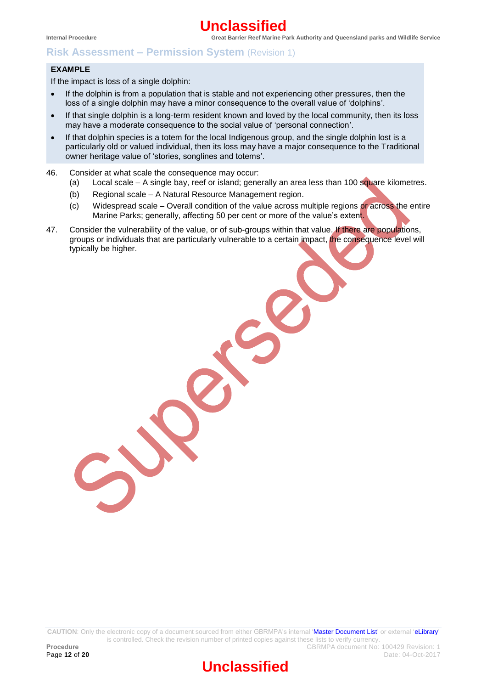## **Risk Assessment – Permission System** (Revision 1)

#### **EXAMPLE**

If the impact is loss of a single dolphin:

- If the dolphin is from a population that is stable and not experiencing other pressures, then the loss of a single dolphin may have a minor consequence to the overall value of 'dolphins'.
- If that single dolphin is a long-term resident known and loved by the local community, then its loss may have a moderate consequence to the social value of 'personal connection'.
- If that dolphin species is a totem for the local Indigenous group, and the single dolphin lost is a particularly old or valued individual, then its loss may have a major consequence to the Traditional owner heritage value of 'stories, songlines and totems'.
- 46. Consider at what scale the consequence may occur:
	- (a) Local scale  $-$  A single bay, reef or island; generally an area less than 100 square kilometres.
	- (b) Regional scale A Natural Resource Management region.
	- (c) Widespread scale Overall condition of the value across multiple regions or across the entire Marine Parks; generally, affecting 50 per cent or more of the value's extent.
- 47. Consider the vulnerability of the value, or of sub-groups within that value. If there are populations, groups or individuals that are particularly vulnerable to a certain impact, the consequence level will typically be higher.

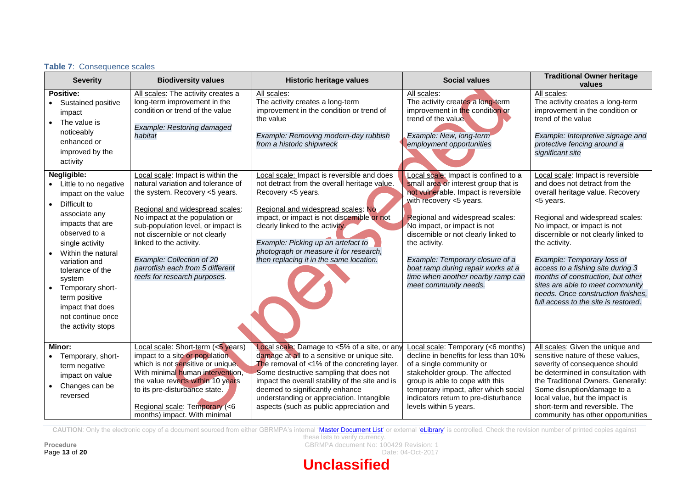| <b>Severity</b>                                                                                                                                                                                                                                                                                                                            | <b>Biodiversity values</b>                                                                                                                                                                                                                                                                                                                                                         | <b>Historic heritage values</b>                                                                                                                                                                                                                                                                                                                                                 | <b>Social values</b>                                                                                                                                                                                                                                                                                                                                                                                              | <b>Traditional Owner heritage</b><br>values                                                                                                                                                                                                                                                                                                                                                                                                                              |
|--------------------------------------------------------------------------------------------------------------------------------------------------------------------------------------------------------------------------------------------------------------------------------------------------------------------------------------------|------------------------------------------------------------------------------------------------------------------------------------------------------------------------------------------------------------------------------------------------------------------------------------------------------------------------------------------------------------------------------------|---------------------------------------------------------------------------------------------------------------------------------------------------------------------------------------------------------------------------------------------------------------------------------------------------------------------------------------------------------------------------------|-------------------------------------------------------------------------------------------------------------------------------------------------------------------------------------------------------------------------------------------------------------------------------------------------------------------------------------------------------------------------------------------------------------------|--------------------------------------------------------------------------------------------------------------------------------------------------------------------------------------------------------------------------------------------------------------------------------------------------------------------------------------------------------------------------------------------------------------------------------------------------------------------------|
| <b>Positive:</b><br>Sustained positive<br>impact<br>The value is<br>noticeably<br>enhanced or<br>improved by the<br>activity                                                                                                                                                                                                               | All scales: The activity creates a<br>long-term improvement in the<br>condition or trend of the value<br>Example: Restoring damaged<br>habitat                                                                                                                                                                                                                                     | All scales:<br>The activity creates a long-term<br>improvement in the condition or trend of<br>the value<br>Example: Removing modern-day rubbish<br>from a historic shipwreck                                                                                                                                                                                                   | All scales:<br>The activity creates a long-term<br>improvement in the condition or<br>trend of the value<br>Example: New, long-term<br>employment opportunities                                                                                                                                                                                                                                                   | All scales:<br>The activity creates a long-term<br>improvement in the condition or<br>trend of the value<br>Example: Interpretive signage and<br>protective fencing around a<br>significant site                                                                                                                                                                                                                                                                         |
| Negligible:<br>Little to no negative<br>impact on the value<br>Difficult to<br>$\bullet$<br>associate any<br>impacts that are<br>observed to a<br>single activity<br>Within the natural<br>variation and<br>tolerance of the<br>system<br>Temporary short-<br>term positive<br>impact that does<br>not continue once<br>the activity stops | Local scale: Impact is within the<br>natural variation and tolerance of<br>the system. Recovery <5 years.<br>Regional and widespread scales:<br>No impact at the population or<br>sub-population level, or impact is<br>not discernible or not clearly<br>linked to the activity.<br>Example: Collection of 20<br>parrotfish each from 5 different<br>reefs for research purposes. | Local scale: Impact is reversible and does<br>not detract from the overall heritage value.<br>Recovery <5 years.<br>Regional and widespread scales: No<br>impact, or impact is not discernible or not<br>clearly linked to the activity.<br>Example: Picking up an artefact to<br>photograph or measure it for research,<br>then replacing it in the same location.             | Local scale: Impact is confined to a<br>small area or interest group that is<br>not vulnerable. Impact is reversible<br>with recovery <5 years.<br>Regional and widespread scales:<br>No impact, or impact is not<br>discernible or not clearly linked to<br>the activity.<br>Example: Temporary closure of a<br>boat ramp during repair works at a<br>time when another nearby ramp can<br>meet community needs. | Local scale: Impact is reversible<br>and does not detract from the<br>overall heritage value. Recovery<br><5 years.<br>Regional and widespread scales:<br>No impact, or impact is not<br>discernible or not clearly linked to<br>the activity.<br>Example: Temporary loss of<br>access to a fishing site during 3<br>months of construction, but other<br>sites are able to meet community<br>needs. Once construction finishes,<br>full access to the site is restored. |
| Minor:<br>Temporary, short-<br>term negative<br>impact on value<br>Changes can be<br>reversed                                                                                                                                                                                                                                              | Local scale: Short-term (<5 years)<br>impact to a site or population<br>which is not sensitive or unique.<br>With minimal human intervention,<br>the value reverts within 10 years<br>to its pre-disturbance state.<br>Regional scale: Temporary (<6<br>months) impact. With minimal                                                                                               | <b>Local scale:</b> Damage to <5% of a site, or any<br>damage at all to a sensitive or unique site.<br>The removal of $<1\%$ of the concreting layer.<br>Some destructive sampling that does not<br>impact the overall stability of the site and is<br>deemed to significantly enhance<br>understanding or appreciation. Intangible<br>aspects (such as public appreciation and | Local scale: Temporary (<6 months)<br>decline in benefits for less than 10%<br>of a single community or<br>stakeholder group. The affected<br>group is able to cope with this<br>temporary impact, after which social<br>indicators return to pre-disturbance<br>levels within 5 years.                                                                                                                           | All scales: Given the unique and<br>sensitive nature of these values,<br>severity of consequence should<br>be determined in consultation with<br>the Traditional Owners. Generally:<br>Some disruption/damage to a<br>local value, but the impact is<br>short-term and reversible. The<br>community has other opportunities                                                                                                                                              |

<span id="page-12-0"></span>CAUTION: Only the electronic copy of a document sourced from either GBRMPA's internal ['Master Document List'](http://qudos/masterdocumentlist/) or external ['eLibrary'](http://elibrary.gbrmpa.gov.au/jspui/) is controlled. Check the revision number of printed copies against

**Table 7**: Consequence scales

these lists to verify currency. Procedure<br>**Procedure** GBRMPA document No: 100429 Revision: 1<br>Date: 04-Oct-2017

Date: 04-Oct-2017

# **Unclassified**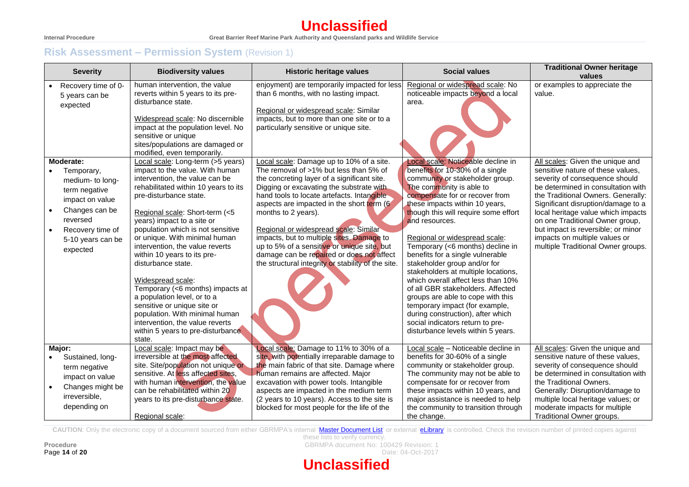# **Unclassified**

# **Risk Assessment – Permission System** (Revision 1)

| <b>Severity</b>                                                                                                                                                                                                         | <b>Biodiversity values</b>                                                                                                                                                                                                                                                                                                                                                                                                                                                                                                                                                                                                                                                                                                                                                                                                                                                                               | <b>Historic heritage values</b>                                                                                                                                                                                                                                                                                                                                                                                                                                                                                                                                                                                                                                                                                                                                    | <b>Social values</b>                                                                                                                                                                                                                                                                                                                                                                                                                                                                                                                                                                                                                                                                                                                                                                                  | <b>Traditional Owner heritage</b><br>values                                                                                                                                                                                                                                                                                                                                                                                                                |
|-------------------------------------------------------------------------------------------------------------------------------------------------------------------------------------------------------------------------|----------------------------------------------------------------------------------------------------------------------------------------------------------------------------------------------------------------------------------------------------------------------------------------------------------------------------------------------------------------------------------------------------------------------------------------------------------------------------------------------------------------------------------------------------------------------------------------------------------------------------------------------------------------------------------------------------------------------------------------------------------------------------------------------------------------------------------------------------------------------------------------------------------|--------------------------------------------------------------------------------------------------------------------------------------------------------------------------------------------------------------------------------------------------------------------------------------------------------------------------------------------------------------------------------------------------------------------------------------------------------------------------------------------------------------------------------------------------------------------------------------------------------------------------------------------------------------------------------------------------------------------------------------------------------------------|-------------------------------------------------------------------------------------------------------------------------------------------------------------------------------------------------------------------------------------------------------------------------------------------------------------------------------------------------------------------------------------------------------------------------------------------------------------------------------------------------------------------------------------------------------------------------------------------------------------------------------------------------------------------------------------------------------------------------------------------------------------------------------------------------------|------------------------------------------------------------------------------------------------------------------------------------------------------------------------------------------------------------------------------------------------------------------------------------------------------------------------------------------------------------------------------------------------------------------------------------------------------------|
| Recovery time of 0-<br>5 years can be<br>expected<br>Moderate:<br>Temporary,<br>medium- to long-<br>term negative<br>impact on value<br>Changes can be<br>reversed<br>Recovery time of<br>5-10 years can be<br>expected | human intervention, the value<br>reverts within 5 years to its pre-<br>disturbance state.<br>Widespread scale: No discernible<br>impact at the population level. No<br>sensitive or unique<br>sites/populations are damaged or<br>modified, even temporarily.<br>Local scale: Long-term (>5 years)<br>impact to the value. With human<br>intervention, the value can be<br>rehabilitated within 10 years to its<br>pre-disturbance state.<br>Regional scale: Short-term (<5<br>years) impact to a site or<br>population which is not sensitive<br>or unique. With minimal human<br>intervention, the value reverts<br>within 10 years to its pre-<br>disturbance state.<br>Widespread scale:<br>Temporary (<6 months) impacts at<br>a population level, or to a<br>sensitive or unique site or<br>population. With minimal human<br>intervention, the value reverts<br>within 5 years to pre-disturbance | enjoyment) are temporarily impacted for less<br>than 6 months, with no lasting impact.<br>Regional or widespread scale: Similar<br>impacts, but to more than one site or to a<br>particularly sensitive or unique site.<br>Local scale: Damage up to 10% of a site.<br>The removal of >1% but less than 5% of<br>the concreting layer of a significant site.<br>Digging or excavating the substrate with<br>hand tools to locate artefacts. Intangible<br>aspects are impacted in the short term (6<br>months to 2 years).<br>Regional or widespread scale: Similar<br>impacts, but to multiple sites. Damage to<br>up to 5% of a sensitive or unique site, but<br>damage can be repaired or does not affect<br>the structural integrity or stability of the site. | Regional or widespread scale: No<br>noticeable impacts beyond a local<br>area.<br>Local scale: Noticeable decline in<br>benefits for 10-30% of a single<br>community or stakeholder group.<br>The community is able to<br>compensate for or recover from<br>these impacts within 10 years,<br>though this will require some effort<br>and resources.<br>Regional or widespread scale:<br>Temporary (<6 months) decline in<br>benefits for a single vulnerable<br>stakeholder group and/or for<br>stakeholders at multiple locations,<br>which overall affect less than 10%<br>of all GBR stakeholders. Affected<br>groups are able to cope with this<br>temporary impact (for example,<br>during construction), after which<br>social indicators return to pre-<br>disturbance levels within 5 years. | or examples to appreciate the<br>value.<br>All scales: Given the unique and<br>sensitive nature of these values,<br>severity of consequence should<br>be determined in consultation with<br>the Traditional Owners. Generally:<br>Significant disruption/damage to a<br>local heritage value which impacts<br>on one Traditional Owner group,<br>but impact is reversible; or minor<br>impacts on multiple values or<br>multiple Traditional Owner groups. |
| Major:                                                                                                                                                                                                                  | state.<br>Local scale: Impact may be                                                                                                                                                                                                                                                                                                                                                                                                                                                                                                                                                                                                                                                                                                                                                                                                                                                                     | Local scale: Damage to 11% to 30% of a                                                                                                                                                                                                                                                                                                                                                                                                                                                                                                                                                                                                                                                                                                                             | Local scale - Noticeable decline in                                                                                                                                                                                                                                                                                                                                                                                                                                                                                                                                                                                                                                                                                                                                                                   | All scales: Given the unique and                                                                                                                                                                                                                                                                                                                                                                                                                           |
| Sustained, long-<br>term negative<br>impact on value<br>Changes might be<br>irreversible,<br>depending on                                                                                                               | irreversible at the most affected<br>site. Site/population not unique or<br>sensitive. At less affected sites,<br>with human intervention, the value<br>can be rehabilitated within 20<br>years to its pre-disturbance state.<br>Regional scale:                                                                                                                                                                                                                                                                                                                                                                                                                                                                                                                                                                                                                                                         | site, with potentially irreparable damage to<br>the main fabric of that site. Damage where<br>human remains are affected. Major<br>excavation with power tools. Intangible<br>aspects are impacted in the medium term<br>(2 years to 10 years). Access to the site is<br>blocked for most people for the life of the                                                                                                                                                                                                                                                                                                                                                                                                                                               | benefits for 30-60% of a single<br>community or stakeholder group.<br>The community may not be able to<br>compensate for or recover from<br>these impacts within 10 years, and<br>major assistance is needed to help<br>the community to transition through<br>the change.                                                                                                                                                                                                                                                                                                                                                                                                                                                                                                                            | sensitive nature of these values,<br>severity of consequence should<br>be determined in consultation with<br>the Traditional Owners.<br>Generally: Disruption/damage to<br>multiple local heritage values; or<br>moderate impacts for multiple<br>Traditional Owner groups.                                                                                                                                                                                |

CAUTION: Only the electronic copy of a document sourced from either GBRMPA's internal ['Master Document List'](http://qudos/masterdocumentlist/) or external ['eLibrary'](http://elibrary.gbrmpa.gov.au/jspui/) is controlled. Check the revision number of printed copies against

these lists to verify currency. **Procedure CBRMPA** document No: 100429 Revision: 1 **Page 14 of 20** Date: 04-Oct-2017

# **Unclassified**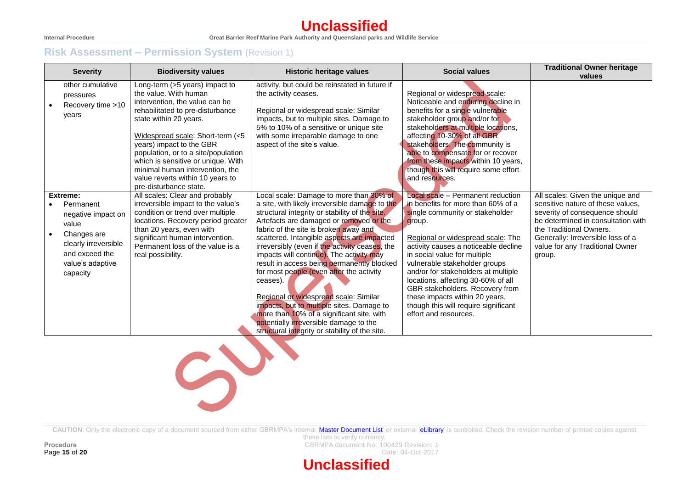# **Unclassified**

#### **Internal Procedure Great Barrier Reef Marine Park Authority and Queensland parks and Wildlife Service**

# **Risk Assessment – Permission System** (Revision 1)

| <b>Severity</b>                                                                                                                                            | <b>Biodiversity values</b>                                                                                                                                                                                                                                                                                                                                                                            | <b>Historic heritage values</b>                                                                                                                                                                                                                                                                                                                                                                                                                                                                                                                                                                                                                                                                                         | <b>Social values</b>                                                                                                                                                                                                                                                                                                                                                                                                                                                                  | <b>Traditional Owner heritage</b><br>values                                                                                                                                                                                                                |
|------------------------------------------------------------------------------------------------------------------------------------------------------------|-------------------------------------------------------------------------------------------------------------------------------------------------------------------------------------------------------------------------------------------------------------------------------------------------------------------------------------------------------------------------------------------------------|-------------------------------------------------------------------------------------------------------------------------------------------------------------------------------------------------------------------------------------------------------------------------------------------------------------------------------------------------------------------------------------------------------------------------------------------------------------------------------------------------------------------------------------------------------------------------------------------------------------------------------------------------------------------------------------------------------------------------|---------------------------------------------------------------------------------------------------------------------------------------------------------------------------------------------------------------------------------------------------------------------------------------------------------------------------------------------------------------------------------------------------------------------------------------------------------------------------------------|------------------------------------------------------------------------------------------------------------------------------------------------------------------------------------------------------------------------------------------------------------|
| other cumulative<br>pressures<br>Recovery time >10<br>years                                                                                                | Long-term (>5 years) impact to<br>the value. With human<br>intervention, the value can be<br>rehabilitated to pre-disturbance<br>state within 20 years.<br>Widespread scale: Short-term (<5<br>years) impact to the GBR<br>population, or to a site/population<br>which is sensitive or unique. With<br>minimal human intervention, the<br>value reverts within 10 years to<br>pre-disturbance state. | activity, but could be reinstated in future if<br>the activity ceases.<br>Regional or widespread scale: Similar<br>impacts, but to multiple sites. Damage to<br>5% to 10% of a sensitive or unique site<br>with some irreparable damage to one<br>aspect of the site's value.                                                                                                                                                                                                                                                                                                                                                                                                                                           | Regional or widespread scale:<br>Noticeable and enduring decline in<br>benefits for a single vulnerable<br>stakeholder group and/or for<br>stakeholders at multiple locations,<br>affecting 10-30% of all GBR<br>stakeholders. The community is<br>able to compensate for or recover<br>from these impacts within 10 years,<br>though this will require some effort<br>and resources.                                                                                                 |                                                                                                                                                                                                                                                            |
| Extreme:<br>Permanent<br>negative impact on<br>value<br>Changes are<br>$\bullet$<br>clearly irreversible<br>and exceed the<br>value's adaptive<br>capacity | All scales: Clear and probably<br>irreversible impact to the value's<br>condition or trend over multiple<br>locations. Recovery period greater<br>than 20 years, even with<br>significant human intervention.<br>Permanent loss of the value is a<br>real possibility.                                                                                                                                | Local scale: Damage to more than 30% of<br>a site, with likely irreversible damage to the<br>structural integrity or stability of the site.<br>Artefacts are damaged or removed or the<br>fabric of the site is broken away and<br>scattered. Intangible aspects are impacted<br>irreversibly (even if the activity ceases, the<br>impacts will continue). The activity may<br>result in access being permanently blocked<br>for most people (even after the activity<br>ceases).<br>Regional or widespread scale: Similar<br>impacts, but to multiple sites. Damage to<br>more than 10% of a significant site, with<br>potentially <i>irreversible</i> damage to the<br>structural integrity or stability of the site. | Local scale - Permanent reduction<br>in benefits for more than 60% of a<br>single community or stakeholder<br>group.<br>Regional or widespread scale: The<br>activity causes a noticeable decline<br>in social value for multiple<br>vulnerable stakeholder groups<br>and/or for stakeholders at multiple<br>locations, affecting 30-60% of all<br>GBR stakeholders. Recovery from<br>these impacts within 20 years,<br>though this will require significant<br>effort and resources. | All scales: Given the unique and<br>sensitive nature of these values,<br>severity of consequence should<br>be determined in consultation with<br>the Traditional Owners.<br>Generally: Irreversible loss of a<br>value for any Traditional Owner<br>group. |



CAUTION: Only the electronic copy of a document sourced from either GBRMPA's internal ['Master Document List'](http://qudos/masterdocumentlist/) or external ['eLibrary'](http://elibrary.gbrmpa.gov.au/jspui/) is controlled. Check the revision number of printed copies against

these lists to verify currency. **Procedure CONSERVING ACCOUNT ACCOUNT ACCOUNT ACCOUNT ACCOUNT ACCOUNT ACCOUNT ACCOUNT ACCOUNT ACCOUNT ACCOUNT ACCOUNT ACCOUNT ACCOUNT ACCOUNT ACCOUNT ACCOUNT ACCOUNT ACCOUNT ACCOUNT ACCOUNT ACCOUNT ACCOUNT ACCOUNT ACCOUN Page 15 of 20** Date: 04-Oct-2017

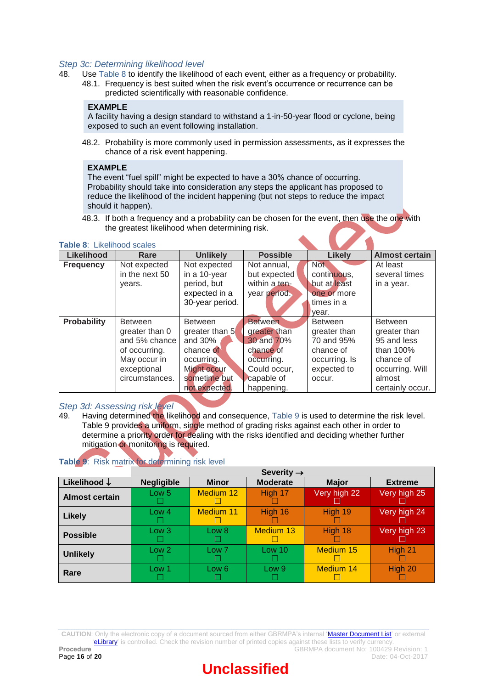#### *Step 3c: Determining likelihood level*

- 48. Use [Table 8](#page-15-0) to identify the likelihood of each event, either as a frequency or probability.
	- 48.1. Frequency is best suited when the risk event's occurrence or recurrence can be predicted scientifically with reasonable confidence.

#### **EXAMPLE**

A facility having a design standard to withstand a 1-in-50-year flood or cyclone, being exposed to such an event following installation.

48.2. Probability is more commonly used in permission assessments, as it expresses the chance of a risk event happening.

#### **EXAMPLE**

The event "fuel spill" might be expected to have a 30% chance of occurring. Probability should take into consideration any steps the applicant has proposed to reduce the likelihood of the incident happening (but not steps to reduce the impact should it happen).

48.3. If both a frequency and a probability can be chosen for the event, then use the one with the greatest likelihood when determining risk.

<span id="page-15-0"></span>**Table 8**: Likelihood scales

| Likelihood         | Rare                     | <b>Unlikely</b> | <b>Possible</b>      | <b>Likely</b>  | <b>Almost certain</b> |  |
|--------------------|--------------------------|-----------------|----------------------|----------------|-----------------------|--|
| <b>Frequency</b>   | Not expected             | Not expected    | Not annual.          | <b>Not</b>     | At least              |  |
|                    | in the next 50           | in a 10-year    | but expected         | continuous.    | several times         |  |
|                    | years.                   | period, but     | within a ten-        | but at least   | in a year.            |  |
|                    |                          | expected in a   | year period.         | one or more    |                       |  |
|                    |                          | 30-year period. |                      | times in a     |                       |  |
|                    |                          |                 |                      | year.          |                       |  |
| <b>Probability</b> | <b>Between</b>           | <b>Between</b>  | <b>Between</b>       | <b>Between</b> | <b>Between</b>        |  |
|                    | greater than 0           | greater than 5  | greater than         | greater than   | greater than          |  |
|                    | and 30%<br>and 5% chance |                 | 30 and 70%           | 70 and 95%     | 95 and less           |  |
|                    | of occurring.            | chance of       |                      | chance of      | than $100%$           |  |
|                    | May occur in             | occurring.      | occurring.           | occurring. Is  | chance of             |  |
|                    | exceptional              | Might occur     | Could occur,         | expected to    | occurring. Will       |  |
|                    | circumstances.           | sometime but    | capable of<br>occur. |                | almost                |  |
|                    |                          | not expected.   | happening.           |                | certainly occur.      |  |

#### *Step 3d: Assessing risk level*

49. Having determined the likelihood and consequence, [Table 9](#page-15-1) is used to determine the risk level. Table 9 provides a uniform, single method of grading risks against each other in order to determine a priority order for dealing with the risks identified and deciding whether further mitigation or monitoring is required.

<span id="page-15-1"></span>

|  |  | Table 9: Risk matrix for determining risk level |  |
|--|--|-------------------------------------------------|--|
|  |  |                                                 |  |

|                         | Severity $\rightarrow$ |                  |                  |              |                |  |  |  |
|-------------------------|------------------------|------------------|------------------|--------------|----------------|--|--|--|
| Likelihood $\downarrow$ | <b>Negligible</b>      | <b>Minor</b>     | <b>Moderate</b>  | <b>Major</b> | <b>Extreme</b> |  |  |  |
| <b>Almost certain</b>   | Low 5<br>L.            | <b>Medium 12</b> | High 17          | Very high 22 | Very high 25   |  |  |  |
| <b>Likely</b>           | Low 4<br>L.            | <b>Medium 11</b> | High 16          | High 19      | Very high 24   |  |  |  |
| <b>Possible</b>         | Low <sub>3</sub>       | Low 8            | Medium 13        | High 18      | Very high 23   |  |  |  |
| <b>Unlikely</b>         | Low <sub>2</sub>       | Low 7            | Low 10           | Medium 15    | High 21        |  |  |  |
| Rare                    | Low 1                  | Low 6            | Low <sub>9</sub> | Medium 14    | High 20        |  |  |  |

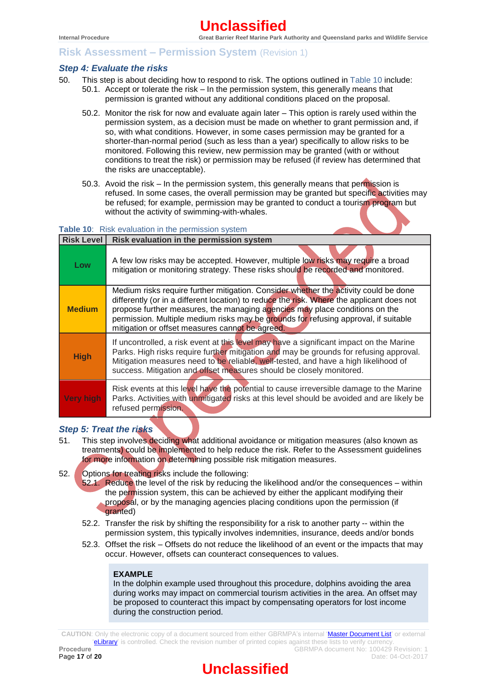## **Risk Assessment – Permission System** (Revision 1)

#### *Step 4: Evaluate the risks*

- 50. This step is about deciding how to respond to risk. The options outlined in [Table 10](#page-16-0) include: 50.1. Accept or tolerate the risk – In the permission system, this generally means that permission is granted without any additional conditions placed on the proposal.
	- 50.2. Monitor the risk for now and evaluate again later This option is rarely used within the permission system, as a decision must be made on whether to grant permission and, if so, with what conditions. However, in some cases permission may be granted for a shorter-than-normal period (such as less than a year) specifically to allow risks to be monitored. Following this review, new permission may be granted (with or without conditions to treat the risk) or permission may be refused (if review has determined that the risks are unacceptable).
	- 50.3. Avoid the risk In the permission system, this generally means that permission is refused. In some cases, the overall permission may be granted but specific activities may be refused; for example, permission may be granted to conduct a tourism program but without the activity of swimming-with-whales.

## <span id="page-16-0"></span>**Table 10**: Risk evaluation in the permission system

| <b>Risk Level</b> | Risk evaluation in the permission system                                                                                                                                                                                                                                                                                                                                                                   |
|-------------------|------------------------------------------------------------------------------------------------------------------------------------------------------------------------------------------------------------------------------------------------------------------------------------------------------------------------------------------------------------------------------------------------------------|
| Low               | A few low risks may be accepted. However, multiple low risks may require a broad<br>mitigation or monitoring strategy. These risks should be recorded and monitored.                                                                                                                                                                                                                                       |
| <b>Medium</b>     | Medium risks require further mitigation. Consider whether the activity could be done<br>differently (or in a different location) to reduce the risk. Where the applicant does not<br>propose further measures, the managing agencies may place conditions on the<br>permission. Multiple medium risks may be grounds for refusing approval, if suitable<br>mitigation or offset measures cannot be agreed. |
| <b>High</b>       | If uncontrolled, a risk event at this level may have a significant impact on the Marine<br>Parks. High risks require further mitigation and may be grounds for refusing approval.<br>Mitigation measures need to be reliable, well-tested, and have a high likelihood of<br>success. Mitigation and offset measures should be closely monitored.                                                           |
| Very high         | Risk events at this level have the potential to cause irreversible damage to the Marine<br>Parks. Activities with unmitigated risks at this level should be avoided and are likely be<br>refused permission.                                                                                                                                                                                               |

## *Step 5: Treat the risks*

- 51. This step involves deciding what additional avoidance or mitigation measures (also known as treatments) could be implemented to help reduce the risk. Refer to the [Assessment](http://thedock.gbrmpa.gov.au/sites/Projects/P000047/Contracts/Risk%20Assessment%20Framework%20Review/•%09http:/www.gbrmpa.gov.au/__data/assets/pdf_file/0008/248975/Assessment-guidelines.pdf) guidelines for more information on determining possible risk mitigation measures.
- 52. Options for treating risks include the following:
	- 52.1. Reduce the level of the risk by reducing the likelihood and/or the consequences within the permission system, this can be achieved by either the applicant modifying their proposal, or by the managing agencies placing conditions upon the permission (if granted)
	- 52.2. Transfer the risk by shifting the responsibility for a risk to another party -- within the permission system, this typically involves indemnities, insurance, deeds and/or bonds
	- 52.3. Offset the risk Offsets do not reduce the likelihood of an event or the impacts that may occur. However, offsets can counteract consequences to values.

#### **EXAMPLE**

In the dolphin example used throughout this procedure, dolphins avoiding the area during works may impact on commercial tourism activities in the area. An offset may be proposed to counteract this impact by compensating operators for lost income during the construction period.

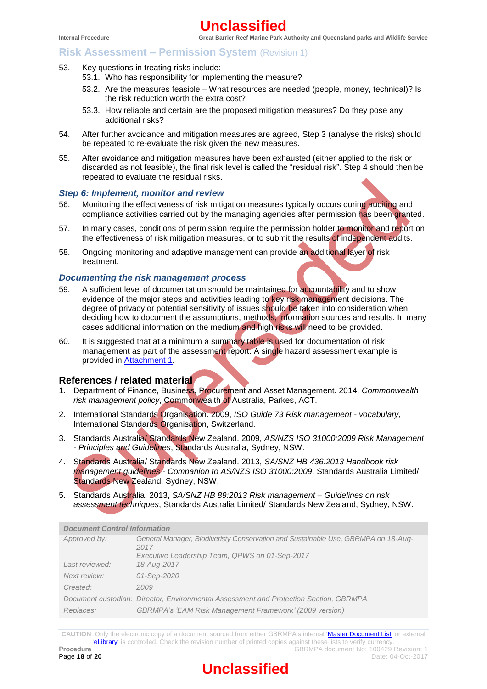- 53. Key questions in treating risks include:
	- 53.1. Who has responsibility for implementing the measure?
	- 53.2. Are the measures feasible What resources are needed (people, money, technical)? Is the risk reduction worth the extra cost?
	- 53.3. How reliable and certain are the proposed mitigation measures? Do they pose any additional risks?
- 54. After further avoidance and mitigation measures are agreed, Step 3 (analyse the risks) should be repeated to re-evaluate the risk given the new measures.
- 55. After avoidance and mitigation measures have been exhausted (either applied to the risk or discarded as not feasible), the final risk level is called the "residual risk". Step 4 should then be repeated to evaluate the residual risks.

#### *Step 6: Implement, monitor and review*

- 56. Monitoring the effectiveness of risk mitigation measures typically occurs during auditing and compliance activities carried out by the managing agencies after permission has been granted.
- 57. In many cases, conditions of permission require the permission holder to monitor and report on the effectiveness of risk mitigation measures, or to submit the results of independent audits.
- 58. Ongoing monitoring and adaptive management can provide an additional layer of risk treatment.

#### *Documenting the risk management process*

- 59. A sufficient level of documentation should be maintained for accountability and to show evidence of the major steps and activities leading to key risk management decisions. The degree of privacy or potential sensitivity of issues should be taken into consideration when deciding how to document the assumptions, methods, information sources and results. In many cases additional information on the medium and high risks will need to be provided.
- 60. It is suggested that at a minimum a summary table is used for documentation of risk management as part of the assessment report. A single hazard assessment example is provided in [Attachment 1.](#page-18-0)

#### **References / related material**

- 1. Department of Finance, Business, Procurement and Asset Management. 2014, *Commonwealth risk management policy*, Commonwealth of Australia, Parkes, ACT.
- 2. International Standards Organisation. 2009, *ISO Guide 73 Risk management - vocabulary*, International Standards Organisation, Switzerland.
- 3. Standards Australia/ Standards New Zealand. 2009, *AS/NZS ISO 31000:2009 Risk Management - Principles and Guidelines*, Standards Australia, Sydney, NSW.
- 4. Standards Australia/ Standards New Zealand. 2013, *SA/SNZ HB 436:2013 Handbook risk management guidelines - Companion to AS/NZS ISO 31000:2009*, Standards Australia Limited/ Standards New Zealand, Sydney, NSW.
- 5. Standards Australia. 2013, *SA/SNZ HB 89:2013 Risk management – Guidelines on risk assessment techniques*, Standards Australia Limited/ Standards New Zealand, Sydney, NSW.

| <b>Document Control Information</b> |                                                                                           |  |  |  |  |  |
|-------------------------------------|-------------------------------------------------------------------------------------------|--|--|--|--|--|
| Approved by:                        | General Manager, Biodiveristy Conservation and Sustainable Use, GBRMPA on 18-Aug-<br>2017 |  |  |  |  |  |
|                                     | Executive Leadership Team, QPWS on 01-Sep-2017                                            |  |  |  |  |  |
| Last reviewed:                      | 18-Aug-2017                                                                               |  |  |  |  |  |
| Next review:                        | 01-Sep-2020                                                                               |  |  |  |  |  |
| Created:                            | 2009                                                                                      |  |  |  |  |  |
|                                     | Document custodian. Director, Environmental Assessment and Protection Section, GBRMPA     |  |  |  |  |  |
| Replaces:                           | <b>GBRMPA's 'EAM Risk Management Framework' (2009 version)</b>                            |  |  |  |  |  |

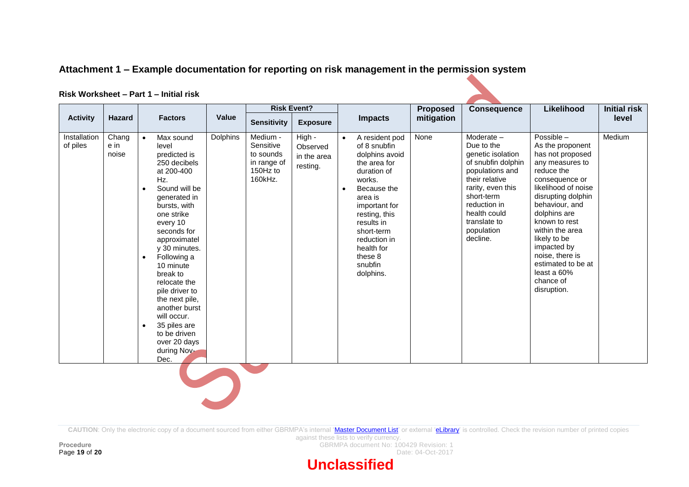# **Attachment 1 – Example documentation for reporting on risk management in the permission system**

#### **Risk Worksheet – Part 1 – Initial risk**

<span id="page-18-0"></span>

|                          |                        |                                                                                                                                                                                                                                                                                                                                                                                                                                                           |          |                                                                          | <b>Risk Event?</b>                            |                                                                                                                                                                                                                                                                              | <b>Proposed</b> | <b>Consequence</b>                                                                                                                                                                                                      | Likelihood                                                                                                                                                                                                                                                                                                                                    | <b>Initial risk</b> |
|--------------------------|------------------------|-----------------------------------------------------------------------------------------------------------------------------------------------------------------------------------------------------------------------------------------------------------------------------------------------------------------------------------------------------------------------------------------------------------------------------------------------------------|----------|--------------------------------------------------------------------------|-----------------------------------------------|------------------------------------------------------------------------------------------------------------------------------------------------------------------------------------------------------------------------------------------------------------------------------|-----------------|-------------------------------------------------------------------------------------------------------------------------------------------------------------------------------------------------------------------------|-----------------------------------------------------------------------------------------------------------------------------------------------------------------------------------------------------------------------------------------------------------------------------------------------------------------------------------------------|---------------------|
| <b>Activity</b>          | <b>Hazard</b>          | <b>Factors</b>                                                                                                                                                                                                                                                                                                                                                                                                                                            | Value    | <b>Sensitivity</b>                                                       | <b>Exposure</b>                               | <b>Impacts</b>                                                                                                                                                                                                                                                               | mitigation      |                                                                                                                                                                                                                         |                                                                                                                                                                                                                                                                                                                                               | level               |
| Installation<br>of piles | Chang<br>e in<br>noise | Max sound<br>$\bullet$<br>level<br>predicted is<br>250 decibels<br>at 200-400<br>Hz.<br>Sound will be<br>$\bullet$<br>generated in<br>bursts, with<br>one strike<br>every 10<br>seconds for<br>approximatel<br>y 30 minutes.<br>Following a<br>$\bullet$<br>10 minute<br>break to<br>relocate the<br>pile driver to<br>the next pile,<br>another burst<br>will occur.<br>35 piles are<br>$\bullet$<br>to be driven<br>over 20 days<br>during Nov-<br>Dec. | Dolphins | Medium -<br>Sensitive<br>to sounds<br>in range of<br>150Hz to<br>160kHz. | High -<br>Observed<br>in the area<br>resting. | A resident pod<br>$\bullet$<br>of 8 snubfin<br>dolphins avoid<br>the area for<br>duration of<br>works.<br>Because the<br>$\bullet$<br>area is<br>important for<br>resting, this<br>results in<br>short-term<br>reduction in<br>health for<br>these 8<br>snubfin<br>dolphins. | None            | Moderate $-$<br>Due to the<br>genetic isolation<br>of snubfin dolphin<br>populations and<br>their relative<br>rarity, even this<br>short-term<br>reduction in<br>health could<br>translate to<br>population<br>decline. | Possible $-$<br>As the proponent<br>has not proposed<br>any measures to<br>reduce the<br>consequence or<br>likelihood of noise<br>disrupting dolphin<br>behaviour, and<br>dolphins are<br>known to rest<br>within the area<br>likely to be<br>impacted by<br>noise, there is<br>estimated to be at<br>least a 60%<br>chance of<br>disruption. | Medium              |
|                          |                        |                                                                                                                                                                                                                                                                                                                                                                                                                                                           |          |                                                                          |                                               |                                                                                                                                                                                                                                                                              |                 |                                                                                                                                                                                                                         |                                                                                                                                                                                                                                                                                                                                               |                     |

CAUTION: Only the electronic copy of a document sourced from either GBRMPA's internal ['Master Document List'](http://qudos/masterdocumentlist/) or external ['eLibrary'](http://elibrary.gbrmpa.gov.au/jspui/) is controlled. Check the revision number of printed copies

against these lists to verify currency. **Procedure**<br>**Page 19 of 20**<br>Date: 04-Oct-2017

Date: 04-Oct-2017